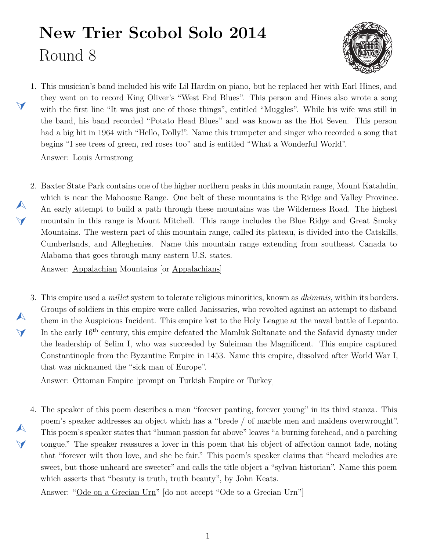## **New Trier Scobol Solo 2014** Round 8



<span id="page-0-1"></span>1. This musician's band included his wife Lil Hardin on piano, but he replaced her with Earl Hines, and they went on to record King Oliver's "West End Blues". This person and Hines also wrote a song with the first line "It was just one of those things", entitled "Muggles". While his wife was still in the band, his band recorded "Potato Head Blues" and was known as the Hot Seven. This person had a big hit in 1964 with "Hello, Dolly!". Name this trumpeter and singer who recorded a song that begins "I see trees of green, red roses too" and is entitled "What a Wonderful World".

Answer: Louis Armstrong

 $\blacktriangleleft$ 

 $\blacktriangle$ 

 $\blacktriangleleft$ 

 $\blacktriangle$ 

 $\blacktriangledown$ 

<span id="page-0-0"></span>2. Baxter State Park contains one of the higher northern peaks in this mountain range, Mount Katahdin, which is near the Mahoosuc Range. One belt of these mountains is the Ridge and Valley Province. An early attempt to build a path through these mountains was the Wilderness Road. The highest mountain in this range is Mount Mitchell. This range includes the Blue Ridge and Great Smoky Mountains. The western part of this mountain range, called its plateau, is divided into the Catskills, Cumberlands, and Alleghenies. Name this mountain range extending from southeast Canada to Alabama that goes through many eastern U.S. states.

Answer: Appalachian Mountains [or Appalachians]

<span id="page-0-2"></span>3. This empire used a *millet* system to tolerate religious minorities, known as *dhimmis*, within its borders. Groups of soldiers in this empire were called Janissaries, who revolted against an attempt to disband them in the Auspicious Incident. This empire lost to the Holy League at the naval battle of Lepanto. In the early 16<sup>th</sup> century, this empire defeated the Mamluk Sultanate and the Safavid dynasty under the leadership of Selim I, who was succeeded by Suleiman the Magnificent. This empire captured Constantinople from the Byzantine Empire in 1453. Name this empire, dissolved after World War I, that was nicknamed the "sick man of Europe".

Answer: Ottoman Empire [prompt on Turkish Empire or Turkey]

<span id="page-0-3"></span>4. The speaker of this poem describes a man "forever panting, forever young" in its third stanza. This  $\blacktriangle$  $\blacktriangleleft$ poem's speaker addresses an object which has a "brede / of marble men and maidens overwrought". This poem's speaker states that "human passion far above" leaves "a burning forehead, and a parching tongue." The speaker reassures a lover in this poem that his object of affection cannot fade, noting that "forever wilt thou love, and she be fair." This poem's speaker claims that "heard melodies are sweet, but those unheard are sweeter" and calls the title object a "sylvan historian". Name this poem which asserts that "beauty is truth, truth beauty", by John Keats.

Answer: "Ode on a Grecian Urn" [do not accept "Ode to a Grecian Urn"]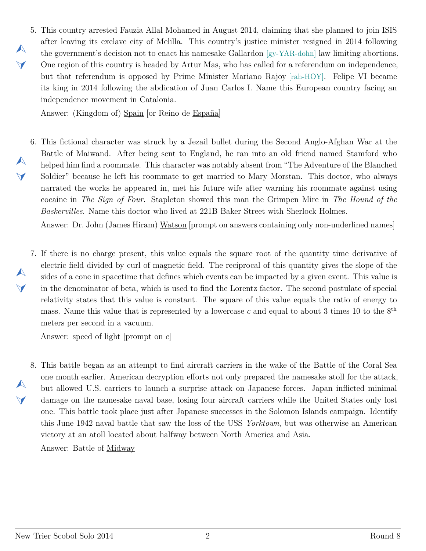<span id="page-1-0"></span>5. This country arrested Fauzia Allal Mohamed in August 2014, claiming that she planned to join ISIS  $\blacktriangle$  $\blacktriangledown$ after leaving its exclave city of Melilla. This country's justice minister resigned in 2014 following the government's decision not to enact his namesake Gallardon [gy-YAR-dohn] law limiting abortions. One region of this country is headed by Artur Mas, who has called for a referendum on independence, but that referendum is opposed by Prime Minister Mariano Rajoy [rah-HOY]. Felipe VI became its king in 2014 following the abdication of Juan Carlos I. Name this European country facing an independence movement in Catalonia.

Answer: (Kingdom of) Spain [or Reino de España]

<span id="page-1-1"></span>6. This fictional character was struck by a Jezail bullet during the Second Anglo-Afghan War at the Battle of Maiwand. After being sent to England, he ran into an old friend named Stamford who helped him find a roommate. This character was notably absent from "The Adventure of the Blanched Soldier" because he left his roommate to get married to Mary Morstan. This doctor, who always narrated the works he appeared in, met his future wife after warning his roommate against using cocaine in *The Sign of Four*. Stapleton showed this man the Grimpen Mire in *The Hound of the Baskervilles*. Name this doctor who lived at 221B Baker Street with Sherlock Holmes.

Answer: Dr. John (James Hiram) Watson [prompt on answers containing only non-underlined names]

<span id="page-1-2"></span>7. If there is no charge present, this value equals the square root of the quantity time derivative of electric field divided by curl of magnetic field. The reciprocal of this quantity gives the slope of the sides of a cone in spacetime that defines which events can be impacted by a given event. This value is in the denominator of beta, which is used to find the Lorentz factor. The second postulate of special relativity states that this value is constant. The square of this value equals the ratio of energy to mass. Name this value that is represented by a lowercase  $c$  and equal to about 3 times 10 to the  $8<sup>th</sup>$ meters per second in a vacuum.

Answer: speed of light [prompt on *c*]

<span id="page-1-3"></span>8. This battle began as an attempt to find aircraft carriers in the wake of the Battle of the Coral Sea one month earlier. American decryption efforts not only prepared the namesake atoll for the attack, but allowed U.S. carriers to launch a surprise attack on Japanese forces. Japan inflicted minimal damage on the namesake naval base, losing four aircraft carriers while the United States only lost one. This battle took place just after Japanese successes in the Solomon Islands campaign. Identify this June 1942 naval battle that saw the loss of the USS *Yorktown*, but was otherwise an American victory at an atoll located about halfway between North America and Asia.

Answer: Battle of Midway

 $\blacktriangle$ 

 $\blacktriangleleft$ 

 $\blacktriangle$ 

 $\blacktriangledown$ 

 $\blacktriangle$ 

 $\blacktriangleleft$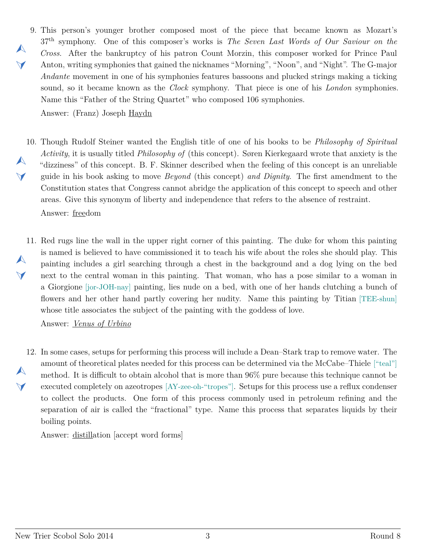<span id="page-2-0"></span>9. This person's younger brother composed most of the piece that became known as Mozart's  $\blacktriangledown$ 37th symphony. One of this composer's works is *The Seven Last Words of Our Saviour on the Cross*. After the bankruptcy of his patron Count Morzin, this composer worked for Prince Paul Anton, writing symphonies that gained the nicknames "Morning", "Noon", and "Night". The G-major *Andante* movement in one of his symphonies features bassoons and plucked strings making a ticking sound, so it became known as the *Clock* symphony. That piece is one of his *London* symphonies. Name this "Father of the String Quartet" who composed 106 symphonies.

Answer: (Franz) Joseph Haydn

 $\blacktriangle$ 

- <span id="page-2-1"></span>10. Though Rudolf Steiner wanted the English title of one of his books to be *Philosophy of Spiritual*  $\blacktriangle$  $\vee$ *Activity*, it is usually titled *Philosophy of* (this concept). Søren Kierkegaard wrote that anxiety is the "dizziness" of this concept. B. F. Skinner described when the feeling of this concept is an unreliable guide in his book asking to move *Beyond* (this concept) *and Dignity*. The first amendment to the Constitution states that Congress cannot abridge the application of this concept to speech and other areas. Give this synonym of liberty and independence that refers to the absence of restraint. Answer: freedom
- <span id="page-2-2"></span>11. Red rugs line the wall in the upper right corner of this painting. The duke for whom this painting  $\blacktriangle$  $\blacktriangleleft$ is named is believed to have commissioned it to teach his wife about the roles she should play. This painting includes a girl searching through a chest in the background and a dog lying on the bed next to the central woman in this painting. That woman, who has a pose similar to a woman in a Giorgione [jor-JOH-nay] painting, lies nude on a bed, with one of her hands clutching a bunch of flowers and her other hand partly covering her nudity. Name this painting by Titian [TEE-shun] whose title associates the subject of the painting with the goddess of love.

Answer: *Venus of Urbino*

<span id="page-2-3"></span>12. In some cases, setups for performing this process will include a Dean–Stark trap to remove water. The  $\blacktriangle$  $\blacktriangleleft$ amount of theoretical plates needed for this process can be determined via the McCabe–Thiele ["teal"] method. It is difficult to obtain alcohol that is more than 96% pure because this technique cannot be executed completely on azeotropes [AY-zee-oh-"tropes"]. Setups for this process use a reflux condenser to collect the products. One form of this process commonly used in petroleum refining and the separation of air is called the "fractional" type. Name this process that separates liquids by their boiling points.

Answer: distillation [accept word forms]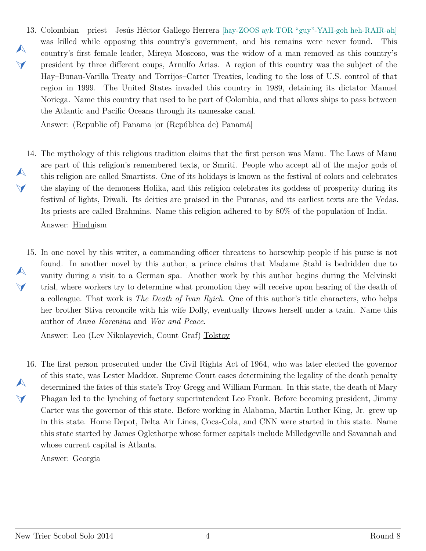<span id="page-3-0"></span>13. Colombian priest Jesús Héctor Gallego Herrera [hay-ZOOS ayk-TOR "guy"-YAH-goh heh-RAIR-ah]  $\blacktriangle$  $\vee$ was killed while opposing this country's government, and his remains were never found. This country's first female leader, Mireya Moscoso, was the widow of a man removed as this country's president by three different coups, Arnulfo Arias. A region of this country was the subject of the Hay–Bunau-Varilla Treaty and Torrijos–Carter Treaties, leading to the loss of U.S. control of that region in 1999. The United States invaded this country in 1989, detaining its dictator Manuel Noriega. Name this country that used to be part of Colombia, and that allows ships to pass between the Atlantic and Pacific Oceans through its namesake canal.

Answer: (Republic of) Panama [or (República de) Panamá]

- <span id="page-3-1"></span>14. The mythology of this religious tradition claims that the first person was Manu. The Laws of Manu  $\blacktriangle$  $\blacktriangle$ are part of this religion's remembered texts, or Smriti. People who accept all of the major gods of this religion are called Smartists. One of its holidays is known as the festival of colors and celebrates the slaying of the demoness Holika, and this religion celebrates its goddess of prosperity during its festival of lights, Diwali. Its deities are praised in the Puranas, and its earliest texts are the Vedas. Its priests are called Brahmins. Name this religion adhered to by 80% of the population of India. Answer: Hinduism
- <span id="page-3-2"></span>15. In one novel by this writer, a commanding officer threatens to horsewhip people if his purse is not  $\blacktriangle$  $\blacktriangleleft$ found. In another novel by this author, a prince claims that Madame Stahl is bedridden due to vanity during a visit to a German spa. Another work by this author begins during the Melvinski trial, where workers try to determine what promotion they will receive upon hearing of the death of a colleague. That work is *The Death of Ivan Ilyich*. One of this author's title characters, who helps her brother Stiva reconcile with his wife Dolly, eventually throws herself under a train. Name this author of *Anna Karenina* and *War and Peace*.

Answer: Leo (Lev Nikolayevich, Count Graf) Tolstoy

<span id="page-3-3"></span>16. The first person prosecuted under the Civil Rights Act of 1964, who was later elected the governor  $\blacktriangle$  $\blacktriangle$ of this state, was Lester Maddox. Supreme Court cases determining the legality of the death penalty determined the fates of this state's Troy Gregg and William Furman. In this state, the death of Mary Phagan led to the lynching of factory superintendent Leo Frank. Before becoming president, Jimmy Carter was the governor of this state. Before working in Alabama, Martin Luther King, Jr. grew up in this state. Home Depot, Delta Air Lines, Coca-Cola, and CNN were started in this state. Name this state started by James Oglethorpe whose former capitals include Milledgeville and Savannah and whose current capital is Atlanta.

Answer: Georgia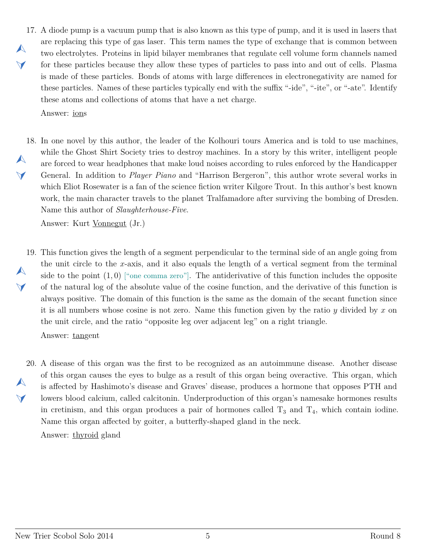- <span id="page-4-0"></span>17. A diode pump is a vacuum pump that is also known as this type of pump, and it is used in lasers that  $\blacktriangle$  $\vee$ are replacing this type of gas laser. This term names the type of exchange that is common between two electrolytes. Proteins in lipid bilayer membranes that regulate cell volume form channels named for these particles because they allow these types of particles to pass into and out of cells. Plasma is made of these particles. Bonds of atoms with large differences in electronegativity are named for these particles. Names of these particles typically end with the suffix "-ide", "-ite", or "-ate". Identify these atoms and collections of atoms that have a net charge. Answer: ions
- <span id="page-4-1"></span>18. In one novel by this author, the leader of the Kolhouri tours America and is told to use machines,  $\blacktriangle$  $\blacktriangleleft$ while the Ghost Shirt Society tries to destroy machines. In a story by this writer, intelligent people are forced to wear headphones that make loud noises according to rules enforced by the Handicapper General. In addition to *Player Piano* and "Harrison Bergeron", this author wrote several works in which Eliot Rosewater is a fan of the science fiction writer Kilgore Trout. In this author's best known work, the main character travels to the planet Tralfamadore after surviving the bombing of Dresden. Name this author of *Slaughterhouse-Five*.

Answer: Kurt Vonnegut (Jr.)

<span id="page-4-2"></span>19. This function gives the length of a segment perpendicular to the terminal side of an angle going from  $\blacktriangle$  $\blacktriangledown$ the unit circle to the *x*-axis, and it also equals the length of a vertical segment from the terminal side to the point  $(1,0)$  ["one comma zero"]. The antiderivative of this function includes the opposite of the natural log of the absolute value of the cosine function, and the derivative of this function is always positive. The domain of this function is the same as the domain of the secant function since it is all numbers whose cosine is not zero. Name this function given by the ratio *y* divided by *x* on the unit circle, and the ratio "opposite leg over adjacent leg" on a right triangle. Answer: tangent

<span id="page-4-3"></span>20. A disease of this organ was the first to be recognized as an autoimmune disease. Another disease  $\blacktriangle$  $\blacktriangledown$ of this organ causes the eyes to bulge as a result of this organ being overactive. This organ, which is affected by Hashimoto's disease and Graves' disease, produces a hormone that opposes PTH and lowers blood calcium, called calcitonin. Underproduction of this organ's namesake hormones results in cretinism, and this organ produces a pair of hormones called  $T_3$  and  $T_4$ , which contain iodine. Name this organ affected by goiter, a butterfly-shaped gland in the neck.

Answer: thyroid gland